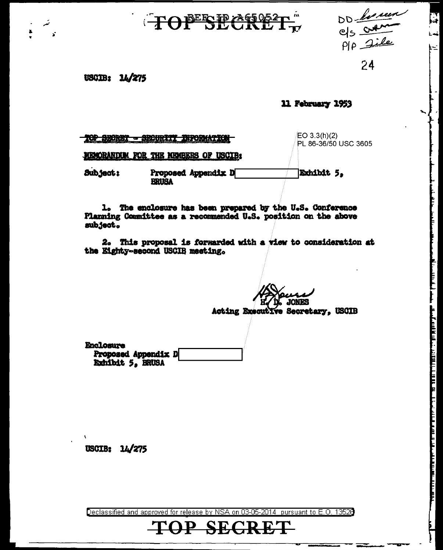## TOPESE ASSET



اخدنا  $\equiv$ 

USCIB: 14/275

11 February 1953

|          | MEMORANDUM FOR THE MEMBERS OF USCIB: | PL 86-36/50 USC 3605 |
|----------|--------------------------------------|----------------------|
| Subject: | Proposed Appendix D<br>BRUSA         | Exhibit 5.           |

1. The enclosure has been prepared by the U.S. Conference Planning Committee as a recommended U.S. position on the above subject.

2. This proposal is forwarded with a view to consideration at the Eighty-second USCIB meeting.

**ONES** 

Acting Executive Secretary, USCIB

Enclosure Proposed Appendix D Exhibit 5, BRUSA

USCIB: 14/275

Declassified and approved for release by NSA on 03-05-2014 pursuant to E.O. 13520

## **SE**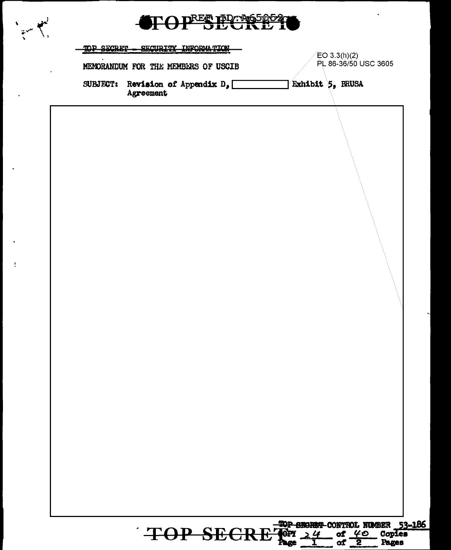| TOP SECRET | SECURITY INFORMATION                               | $E$ O 3.3(h)(2)<br>PL 86-36/50 USC 3605 |
|------------|----------------------------------------------------|-----------------------------------------|
|            | MEMORANDUM FOR THE MEMBERS OF USCIB                |                                         |
|            | SUBJECT: Revision of Appendix $D_{p}$<br>Agreement | Exhibit 5, BRUSA                        |
|            |                                                    |                                         |
|            |                                                    |                                         |
|            |                                                    |                                         |
|            |                                                    |                                         |
|            |                                                    |                                         |
|            |                                                    |                                         |
|            |                                                    |                                         |
|            |                                                    |                                         |
|            |                                                    |                                         |
|            |                                                    |                                         |
|            |                                                    |                                         |
|            |                                                    |                                         |
|            |                                                    |                                         |
|            |                                                    |                                         |
|            |                                                    |                                         |
|            |                                                    |                                         |
|            |                                                    |                                         |
|            |                                                    |                                         |
|            |                                                    |                                         |

٠

 $\ddot{\phantom{a}}$ 

l,

 $\ddot{\phantom{1}}$ 

 $\frac{1}{2}$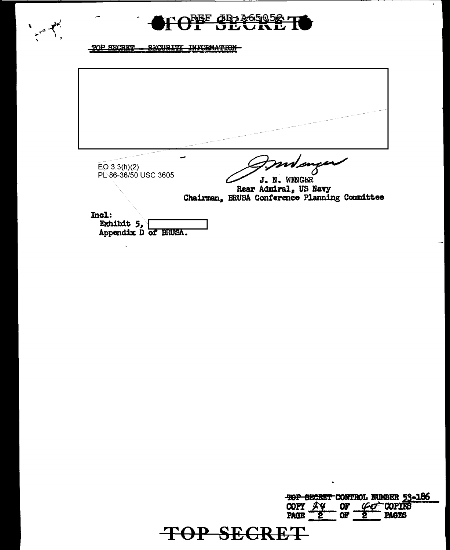



## TOP SECRET - SECURITY INFORMATION

l,

 $EO 3.3(h)(2)$ 8 PL 86-36/50 USC 3605 J. N. WENGER Rear Admiral, US Navy<br>Chairman, BRUSA Conference Planning Committee Incl: Exhibit  $5,$ Appendix D of BRUSA.

TOP SECRET CONTROL NUMBER 53-186 COPY <del>2Y</del>  $OF$  $\varphi\sigma$  copies  $\overline{or}$ **PAGES TOP SECRET**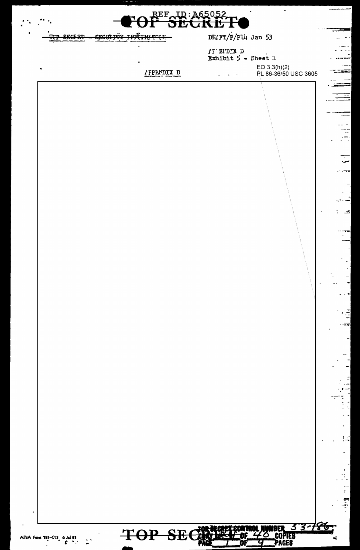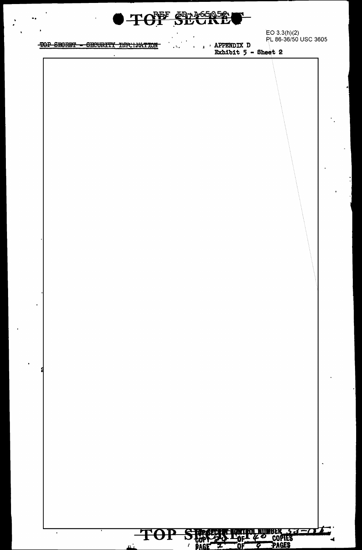TOF SECRE

EO 3.3(h)(2)<br>PL 86-36/50 USC 3605

## TOP SECRET - SECURITY INFOLMATION

 $\blacksquare$ 

u.

**APPENDIX D**  $\mathbf{r}$ Exhibit  $5 - 8$ heet 2

TOP STORES POF 40 COPIES

4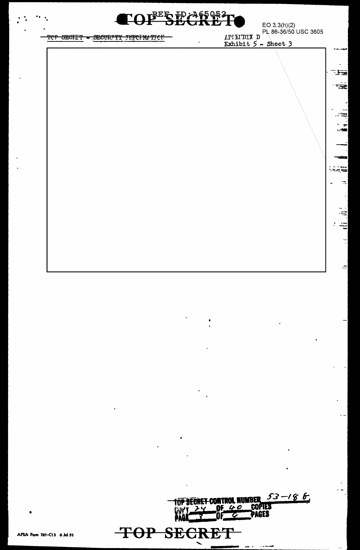

 $\mathbf{r}$ 

ाज

ਾੜੇਵੇ

<u>res</u>

سو

ಿಸಿದ್ದಷ್ಟ

 $\frac{1}{2}$ 

 $\frac{1}{2}$ 

 $\ddot{=}$ ÷

 $\frac{1}{2}$ 

 $\equiv$ 

TOP SECRIT - SECURITY INFORMITCH

EO 3.3(h)(2)<br>PL 86-36/50 USC 3605<br>Exhibit 5 - Sheet 3

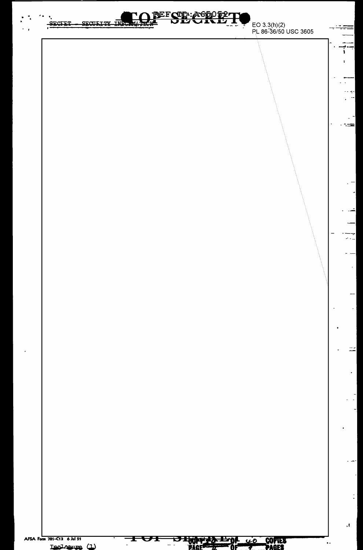BEFOTP: A650 F2T SECTET **SECULT TY** <u>TMT</u> EO 3.3(h)(2)<br>PL 86-36/50 USC 3605 ═══ ١  $\frac{1}{2}$  -- 7 tem l æ. t,  $\mathcal{A}$ AFSA Form 781-C13 6 Jul 51  $\frac{1}{100}$   $\frac{1}{20}$   $\frac{1}{20}$   $\frac{1}{20}$   $\frac{1}{20}$   $\frac{1}{20}$   $\frac{1}{20}$ COPIES UŦ Ŧ  $\tilde{ }$  $\ddot{\phantom{a}}$  $\overline{a}$ Inclosure (1)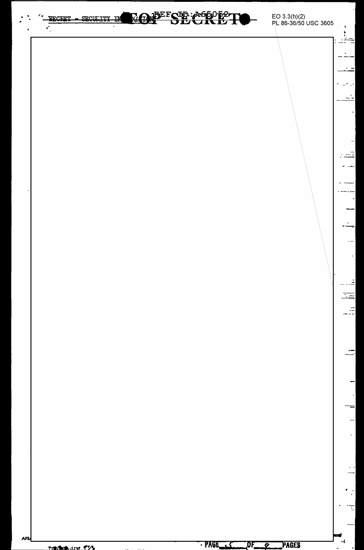**MONDEFSTREAGEORETH** EO 3.3(h)(2)<br>PL 86-36/50 USC 3605 SECULITY IN SECRET - $\mathbf{r}$  $\mathbf{r}$ ŧ Ξ 코 - 5 즠 Ξ **AFS**  $-RAGE$  $\ddot{\phantom{0}}$  $OF_{\longrightarrow 2}$  PAGES **Tradica** are f25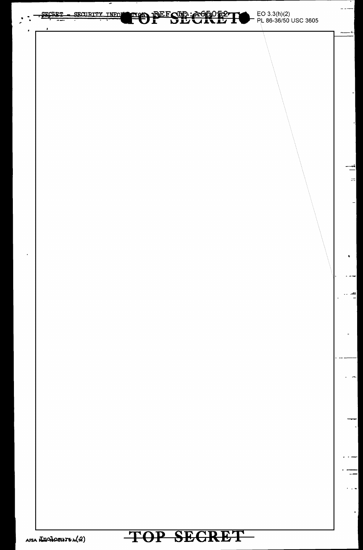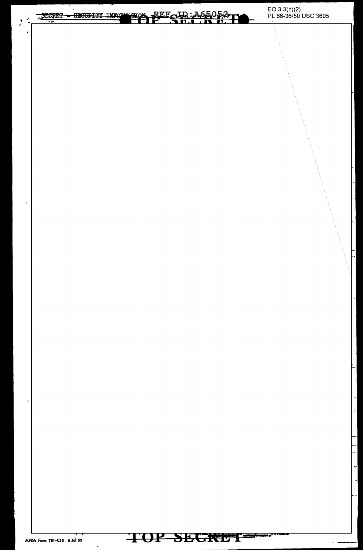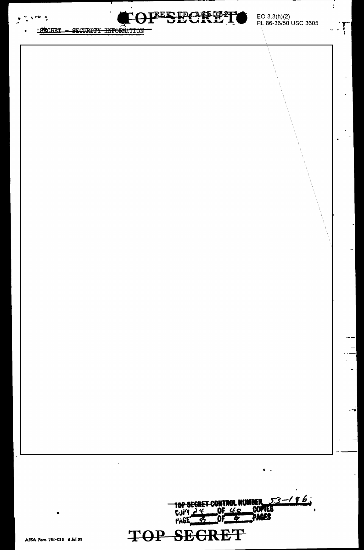



EO 3.3(h)(2)<br>PL 86-36/50 USC 3605

ł.

 $-\frac{1}{2}$ 

. -<del>.</del>

SECRET - SECURITY INFORMATION



 $\mathcal{L}_{\mathcal{A}}$